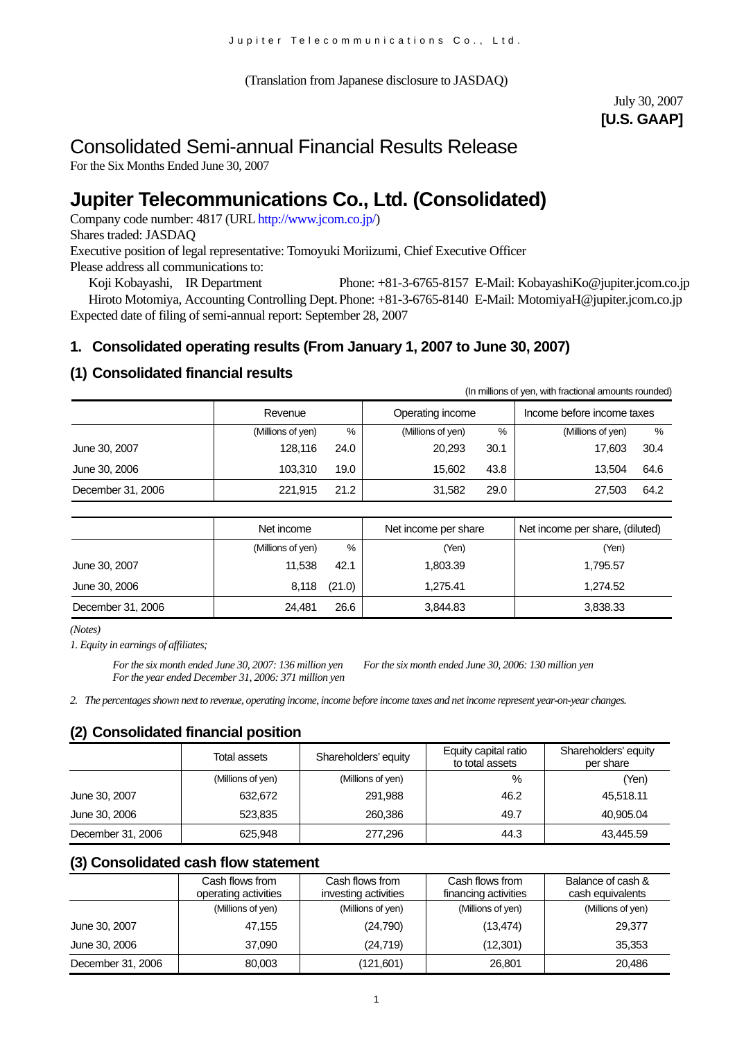(Translation from Japanese disclosure to JASDAQ)

# July 30, 2007 **[U.S. GAAP]**

# Consolidated Semi-annual Financial Results Release

For the Six Months Ended June 30, 2007

# **Jupiter Telecommunications Co., Ltd. (Consolidated)**

Company code number: 4817 (URL http://www.jcom.co.jp/)

Shares traded: JASDAQ

Executive position of legal representative: Tomoyuki Moriizumi, Chief Executive Officer Please address all communications to:

Koji Kobayashi, IR Department Phone: +81-3-6765-8157 E-Mail: KobayashiKo@jupiter.jcom.co.jp Hiroto Motomiya, Accounting Controlling Dept. Phone: +81-3-6765-8140 E-Mail: MotomiyaH@jupiter.jcom.co.jp Expected date of filing of semi-annual report: September 28, 2007

# **1. Consolidated operating results (From January 1, 2007 to June 30, 2007)**

# **(1) Consolidated financial results**

(In millions of yen, with fractional amounts rounded)

|                   | Revenue           |      | Operating income  |      | Income before income taxes |      |
|-------------------|-------------------|------|-------------------|------|----------------------------|------|
|                   | (Millions of yen) | $\%$ | (Millions of yen) | %    | (Millions of yen)          | %    |
| June 30, 2007     | 128.116           | 24.0 | 20.293            | 30.1 | 17.603                     | 30.4 |
| June 30, 2006     | 103.310           | 19.0 | 15.602            | 43.8 | 13.504                     | 64.6 |
| December 31, 2006 | 221,915           | 21.2 | 31,582            | 29.0 | 27,503                     | 64.2 |

|                   | Net income        |        | Net income per share | Net income per share, (diluted) |  |
|-------------------|-------------------|--------|----------------------|---------------------------------|--|
|                   | (Millions of yen) | %      | (Yen)                | (Yen)                           |  |
| June 30, 2007     | 11.538            | 42.1   | 1,803.39             | 1,795.57                        |  |
| June 30, 2006     | 8,118             | (21.0) | 1.275.41             | 1,274.52                        |  |
| December 31, 2006 | 24.481            | 26.6   | 3,844.83             | 3,838.33                        |  |

*(Notes)* 

*1. Equity in earnings of affiliates;*

*For the six month ended June 30, 2007: 136 million yen For the six month ended June 30, 2006: 130 million yen For the year ended December 31, 2006: 371 million yen*

*2. The percentages shown next to revenue, operating income, income before income taxes and net income represent year-on-year changes.* 

# **(2) Consolidated financial position**

|                   | Total assets      | Shareholders' equity | Equity capital ratio<br>to total assets | Shareholders' equity<br>per share |
|-------------------|-------------------|----------------------|-----------------------------------------|-----------------------------------|
|                   | (Millions of yen) | (Millions of yen)    | %                                       | (Yen)                             |
| June 30, 2007     | 632,672           | 291,988              | 46.2                                    | 45.518.11                         |
| June 30, 2006     | 523.835           | 260,386              | 49.7                                    | 40.905.04                         |
| December 31, 2006 | 625,948           | 277,296              | 44.3                                    | 43,445.59                         |

# **(3) Consolidated cash flow statement**

|                   | Cash flows from<br>operating activities | Cash flows from<br>investing activities | Cash flows from<br>financing activities | Balance of cash &<br>cash equivalents |
|-------------------|-----------------------------------------|-----------------------------------------|-----------------------------------------|---------------------------------------|
|                   | (Millions of yen)                       | (Millions of yen)                       | (Millions of yen)                       | (Millions of yen)                     |
| June 30, 2007     | 47.155                                  | (24,790)                                | (13, 474)                               | 29.377                                |
| June 30, 2006     | 37.090                                  | (24, 719)                               | (12, 301)                               | 35,353                                |
| December 31, 2006 | 80,003                                  | (121,601)                               | 26,801                                  | 20.486                                |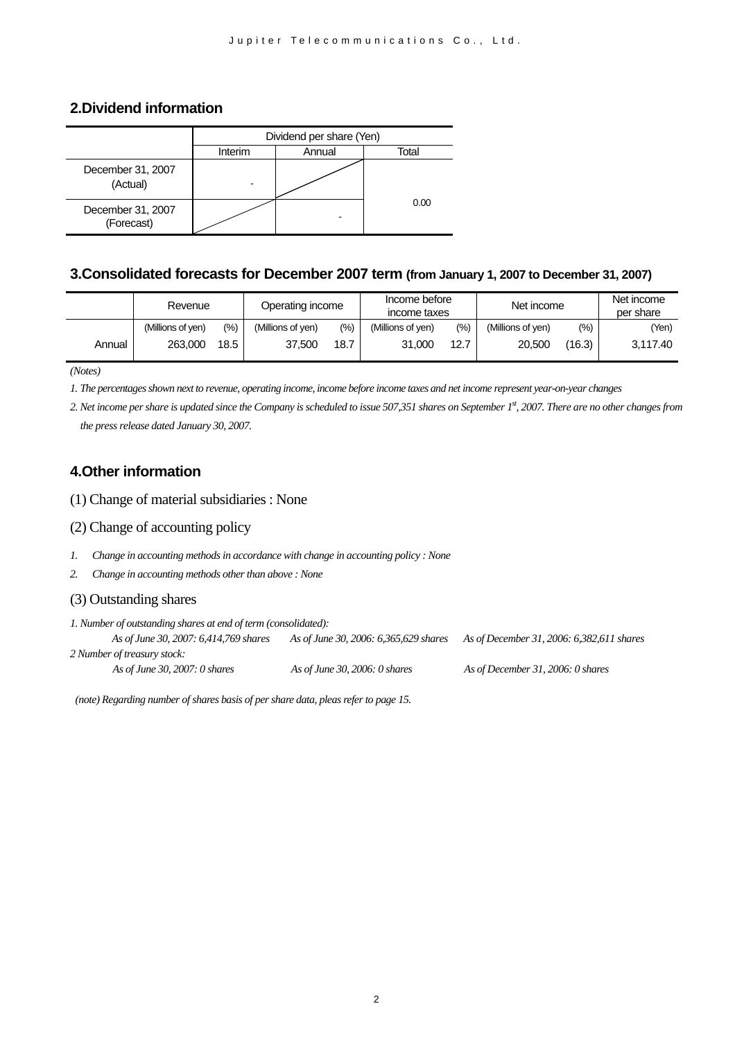## **2.Dividend information**

|                                 | Dividend per share (Yen) |        |       |  |  |  |
|---------------------------------|--------------------------|--------|-------|--|--|--|
|                                 | Interim                  | Annual | Total |  |  |  |
| December 31, 2007<br>(Actual)   |                          |        |       |  |  |  |
| December 31, 2007<br>(Forecast) |                          |        | 0.00  |  |  |  |

#### **3.Consolidated forecasts for December 2007 term (from January 1, 2007 to December 31, 2007)**

|        | Revenue           |         | Operating income  |                   | Income before<br>income taxes |      | Net income        |        | Net income<br>per share |
|--------|-------------------|---------|-------------------|-------------------|-------------------------------|------|-------------------|--------|-------------------------|
|        | (Millions of ven) | $(\% )$ | (Millions of yen) | $\frac{(9/6)}{2}$ | (Millions of yen)             | (%)  | (Millions of yen) | $(\%)$ | (Yen)                   |
| Annual | 263,000           | 18.5    | 37.500            | 18.7              | 31,000                        | 12.7 | 20,500            | (16.3) | 3.117.40                |

*(Notes)*

*1. The percentages shown next to revenue, operating income, income before income taxes and net income represent year-on-year changes* 

*2. Net income per share is updated since the Company is scheduled to issue 507,351 shares on September 1st, 2007. There are no other changes from the press release dated January 30, 2007.*

#### **4.Other information**

(1) Change of material subsidiaries : None

- (2) Change of accounting policy
- *1. Change in accounting methods in accordance with change in accounting policy : None*
- *2. Change in accounting methods other than above : None*

#### (3) Outstanding shares

*1. Number of outstanding shares at end of term (consolidated): As of June 30, 2007: 6,414,769 shares As of June 30, 2006: 6,365,629 shares As of December 31, 2006: 6,382,611 shares 2 Number of treasury stock: As of June 30, 2007: 0 shares As of June 30, 2006: 0 shares As of December 31, 2006: 0 shares* 

*(note) Regarding number of shares basis of per share data, pleas refer to page 15.*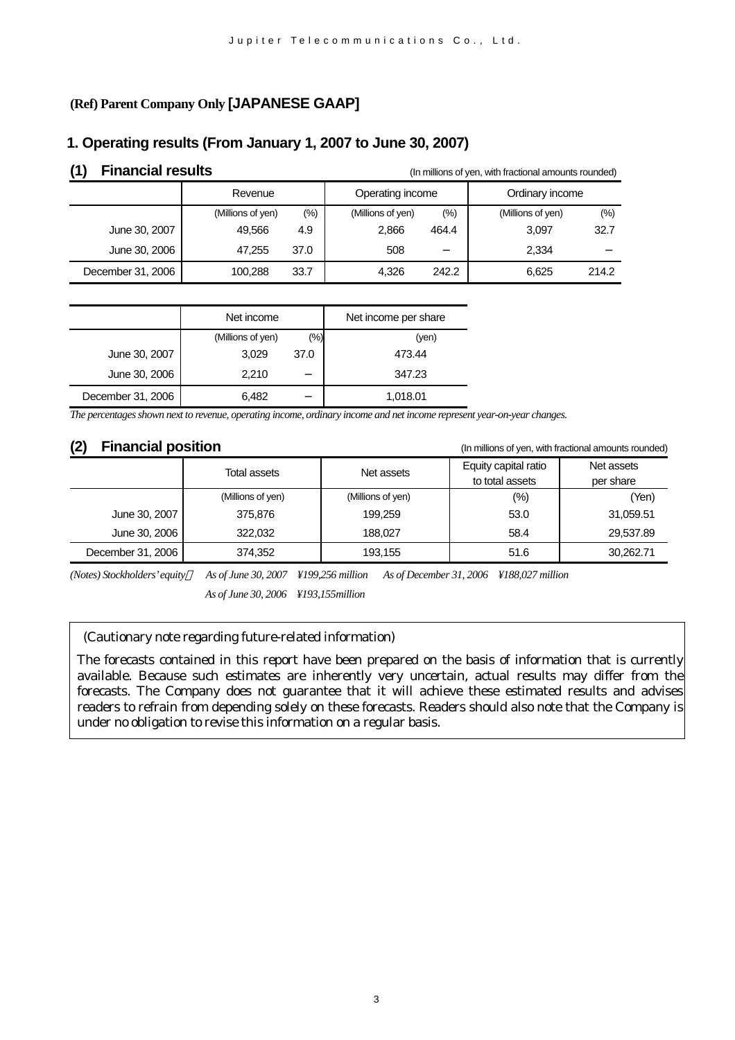# **(Ref) Parent Company Only [JAPANESE GAAP]**

# **1. Operating results (From January 1, 2007 to June 30, 2007)**

| <b>Financial results</b> | (In millions of yen, with fractional amounts rounded) |      |                   |         |                   |       |
|--------------------------|-------------------------------------------------------|------|-------------------|---------|-------------------|-------|
|                          | Revenue                                               |      | Operating income  |         | Ordinary income   |       |
|                          | (Millions of yen)                                     | (% ) | (Millions of yen) | $(\% )$ | (Millions of yen) | (%)   |
| June 30, 2007            | 49.566                                                | 4.9  | 2,866             | 464.4   | 3.097             | 32.7  |
| June 30, 2006            | 47.255                                                | 37.0 | 508               |         | 2,334             |       |
| December 31, 2006        | 100.288                                               | 33.7 | 4.326             | 242.2   | 6.625             | 214.2 |

|                   | Net income        |      | Net income per share |
|-------------------|-------------------|------|----------------------|
|                   | (Millions of yen) | (%)  | (yen)                |
| June 30, 2007     | 3,029             | 37.0 | 473.44               |
| June 30, 2006     | 2,210             |      | 347.23               |
| December 31, 2006 | 6.482             |      | 1,018.01             |

*The percentages shown next to revenue, operating income, ordinary income and net income represent year-on-year changes.*

**(2) Financial position** (In millions of yen, with fractional amounts rounded)

|                   | Total assets      | Net assets        | Equity capital ratio<br>to total assets | Net assets<br>per share |
|-------------------|-------------------|-------------------|-----------------------------------------|-------------------------|
|                   | (Millions of yen) | (Millions of yen) | (%)                                     | (Yen)                   |
| June 30, 2007     | 375,876           | 199.259           | 53.0                                    | 31,059.51               |
| June 30, 2006     | 322,032           | 188,027           | 58.4                                    | 29,537.89               |
| December 31, 2006 | 374,352           | 193,155           | 51.6                                    | 30,262.71               |

*(Notes) Stockholders' equity As of June 30, 2007 ¥199,256 million As of December 31, 2006 ¥188,027 million As of June 30, 2006 ¥193,155million*

#### (Cautionary note regarding future-related information)

The forecasts contained in this report have been prepared on the basis of information that is currently available. Because such estimates are inherently very uncertain, actual results may differ from the forecasts. The Company does not guarantee that it will achieve these estimated results and advises readers to refrain from depending solely on these forecasts. Readers should also note that the Company is under no obligation to revise this information on a regular basis.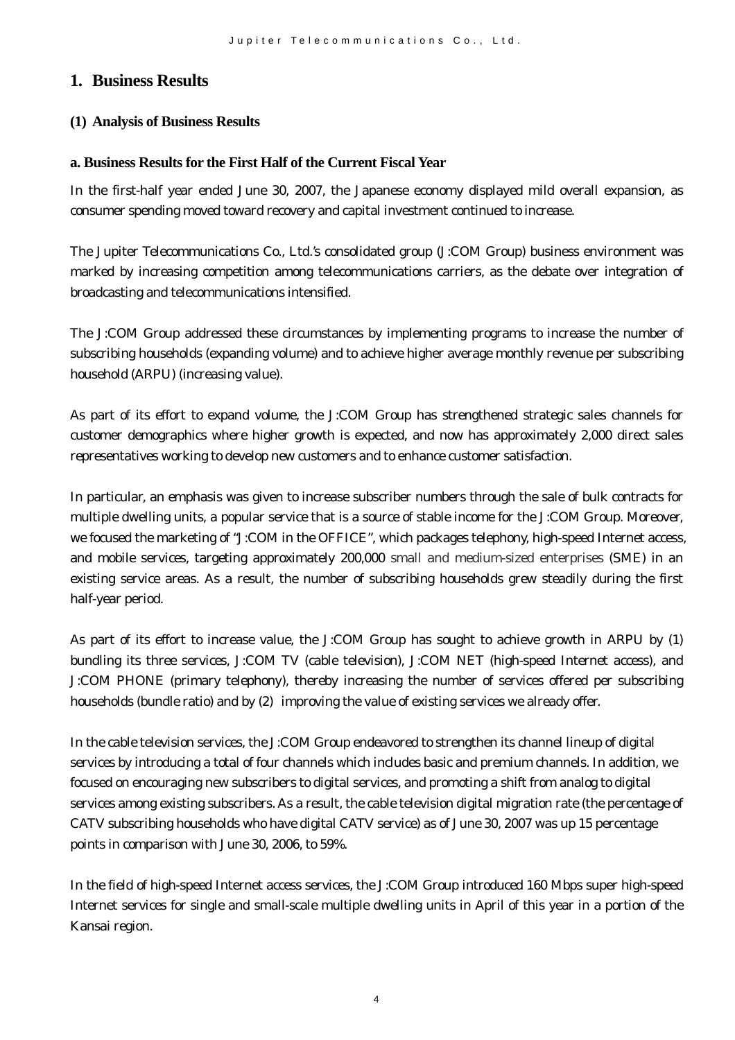# **1. Business Results**

## **(1) Analysis of Business Results**

#### **a. Business Results for the First Half of the Current Fiscal Year**

In the first-half year ended June 30, 2007, the Japanese economy displayed mild overall expansion, as consumer spending moved toward recovery and capital investment continued to increase.

The Jupiter Telecommunications Co., Ltd.'s consolidated group (J:COM Group) business environment was marked by increasing competition among telecommunications carriers, as the debate over integration of broadcasting and telecommunications intensified.

The J:COM Group addressed these circumstances by implementing programs to increase the number of subscribing households (expanding volume) and to achieve higher average monthly revenue per subscribing household (ARPU) (increasing value).

As part of its effort to expand volume, the J:COM Group has strengthened strategic sales channels for customer demographics where higher growth is expected, and now has approximately 2,000 direct sales representatives working to develop new customers and to enhance customer satisfaction.

In particular, an emphasis was given to increase subscriber numbers through the sale of bulk contracts for multiple dwelling units, a popular service that is a source of stable income for the J:COM Group. Moreover, we focused the marketing of "J:COM in the OFFICE", which packages telephony, high-speed Internet access, and mobile services, targeting approximately 200,000 small and medium-sized enterprises (SME) in an existing service areas. As a result, the number of subscribing households grew steadily during the first half-year period.

As part of its effort to increase value, the J:COM Group has sought to achieve growth in ARPU by (1) bundling its three services, J:COM TV (cable television), J:COM NET (high-speed Internet access), and J:COM PHONE (primary telephony), thereby increasing the number of services offered per subscribing households (bundle ratio) and by (2) improving the value of existing services we already offer.

In the cable television services, the J:COM Group endeavored to strengthen its channel lineup of digital services by introducing a total of four channels which includes basic and premium channels. In addition, we focused on encouraging new subscribers to digital services, and promoting a shift from analog to digital services among existing subscribers. As a result, the cable television digital migration rate (the percentage of CATV subscribing households who have digital CATV service) as of June 30, 2007 was up 15 percentage points in comparison with June 30, 2006, to 59%.

In the field of high-speed Internet access services, the J:COM Group introduced 160 Mbps super high-speed Internet services for single and small-scale multiple dwelling units in April of this year in a portion of the Kansai region.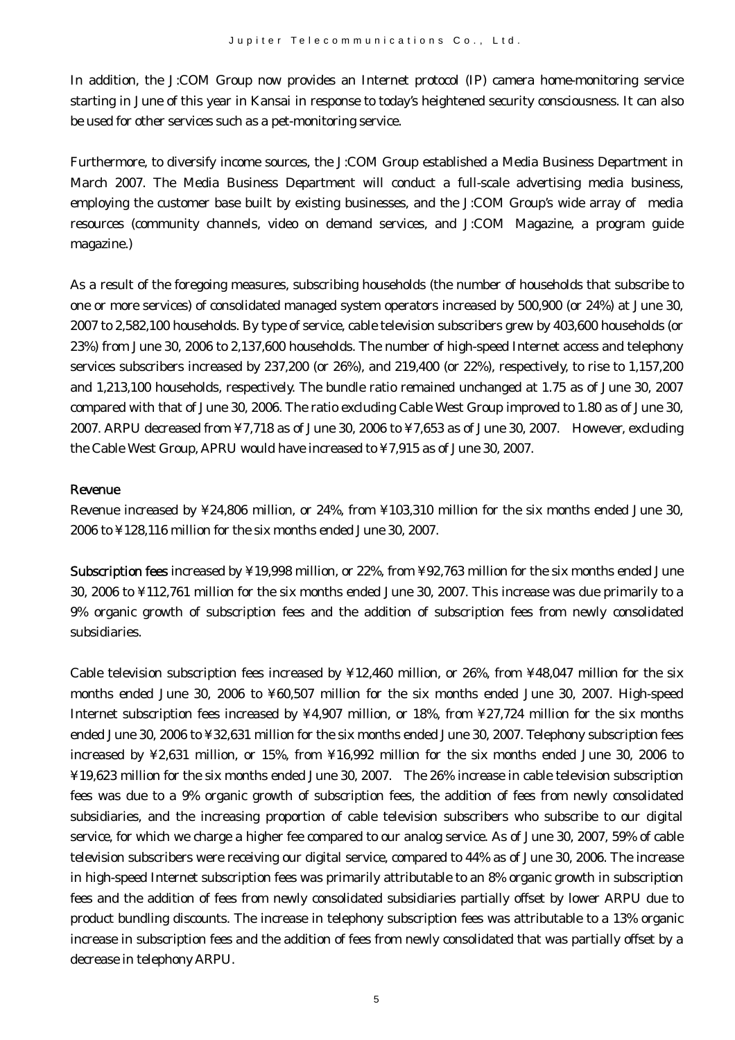In addition, the J:COM Group now provides an Internet protocol (IP) camera home-monitoring service starting in June of this year in Kansai in response to today's heightened security consciousness. It can also be used for other services such as a pet-monitoring service.

Furthermore, to diversify income sources, the J:COM Group established a Media Business Department in March 2007. The Media Business Department will conduct a full-scale advertising media business, employing the customer base built by existing businesses, and the J:COM Group's wide array of media resources (community channels, video on demand services, and J:COM Magazine, a program guide magazine.)

As a result of the foregoing measures, subscribing households (the number of households that subscribe to one or more services) of consolidated managed system operators increased by 500,900 (or 24%) at June 30, 2007 to 2,582,100 households. By type of service, cable television subscribers grew by 403,600 households (or 23%) from June 30, 2006 to 2,137,600 households. The number of high-speed Internet access and telephony services subscribers increased by 237,200 (or 26%), and 219,400 (or 22%), respectively, to rise to 1,157,200 and 1,213,100 households, respectively. The bundle ratio remained unchanged at 1.75 as of June 30, 2007 compared with that of June 30, 2006. The ratio excluding Cable West Group improved to 1.80 as of June 30, 2007. ARPU decreased from ¥7,718 as of June 30, 2006 to ¥7,653 as of June 30, 2007. However, excluding the Cable West Group, APRU would have increased to ¥7,915 as of June 30, 2007.

#### Revenue

Revenue increased by ¥24,806 million, or 24%, from ¥103,310 million for the six months ended June 30, 2006 to ¥128,116 million for the six months ended June 30, 2007.

Subscription fees increased by ¥19,998 million, or 22%, from ¥92,763 million for the six months ended June 30, 2006 to ¥112,761 million for the six months ended June 30, 2007. This increase was due primarily to a 9% organic growth of subscription fees and the addition of subscription fees from newly consolidated subsidiaries.

Cable television subscription fees increased by ¥12,460 million, or 26%, from ¥48,047 million for the six months ended June 30, 2006 to ¥60,507 million for the six months ended June 30, 2007. High-speed Internet subscription fees increased by ¥4,907 million, or 18%, from ¥27,724 million for the six months ended June 30, 2006 to ¥32,631 million for the six months ended June 30, 2007. Telephony subscription fees increased by ¥2,631 million, or 15%, from ¥16,992 million for the six months ended June 30, 2006 to ¥19,623 million for the six months ended June 30, 2007. The 26% increase in cable television subscription fees was due to a 9% organic growth of subscription fees, the addition of fees from newly consolidated subsidiaries, and the increasing proportion of cable television subscribers who subscribe to our digital service, for which we charge a higher fee compared to our analog service. As of June 30, 2007, 59% of cable television subscribers were receiving our digital service, compared to 44% as of June 30, 2006. The increase in high-speed Internet subscription fees was primarily attributable to an 8% organic growth in subscription fees and the addition of fees from newly consolidated subsidiaries partially offset by lower ARPU due to product bundling discounts. The increase in telephony subscription fees was attributable to a 13% organic increase in subscription fees and the addition of fees from newly consolidated that was partially offset by a decrease in telephony ARPU.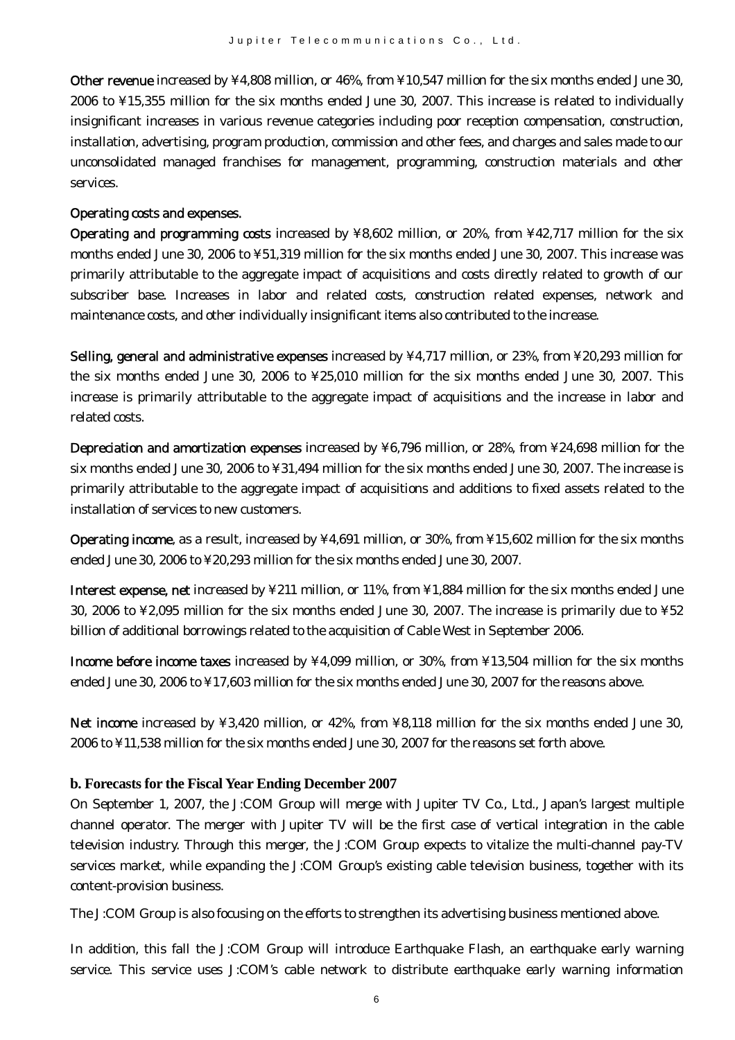Other revenue increased by ¥4,808 million, or 46%, from ¥10,547 million for the six months ended June 30, 2006 to ¥15,355 million for the six months ended June 30, 2007. This increase is related to individually insignificant increases in various revenue categories including poor reception compensation, construction, installation, advertising, program production, commission and other fees, and charges and sales made to our unconsolidated managed franchises for management, programming, construction materials and other services.

#### Operating costs and expenses.

Operating and programming costs increased by ¥8,602 million, or 20%, from ¥42,717 million for the six months ended June 30, 2006 to ¥51,319 million for the six months ended June 30, 2007. This increase was primarily attributable to the aggregate impact of acquisitions and costs directly related to growth of our subscriber base. Increases in labor and related costs, construction related expenses, network and maintenance costs, and other individually insignificant items also contributed to the increase.

Selling, general and administrative expenses increased by ¥4,717 million, or 23%, from ¥20,293 million for the six months ended June 30, 2006 to ¥25,010 million for the six months ended June 30, 2007. This increase is primarily attributable to the aggregate impact of acquisitions and the increase in labor and related costs.

Depreciation and amortization expenses increased by ¥6,796 million, or 28%, from ¥24,698 million for the six months ended June 30, 2006 to ¥31,494 million for the six months ended June 30, 2007. The increase is primarily attributable to the aggregate impact of acquisitions and additions to fixed assets related to the installation of services to new customers.

Operating income, as a result, increased by ¥4,691 million, or 30%, from ¥15,602 million for the six months ended June 30, 2006 to ¥20,293 million for the six months ended June 30, 2007.

Interest expense, net increased by ¥211 million, or 11%, from ¥1,884 million for the six months ended June 30, 2006 to ¥2,095 million for the six months ended June 30, 2007. The increase is primarily due to ¥52 billion of additional borrowings related to the acquisition of Cable West in September 2006.

Income before income taxes increased by ¥4,099 million, or 30%, from ¥13,504 million for the six months ended June 30, 2006 to ¥17,603 million for the six months ended June 30, 2007 for the reasons above.

Net income increased by ¥3,420 million, or 42%, from ¥8,118 million for the six months ended June 30, 2006 to ¥11,538 million for the six months ended June 30, 2007 for the reasons set forth above.

#### **b. Forecasts for the Fiscal Year Ending December 2007**

On September 1, 2007, the J:COM Group will merge with Jupiter TV Co., Ltd., Japan's largest multiple channel operator. The merger with Jupiter TV will be the first case of vertical integration in the cable television industry. Through this merger, the J:COM Group expects to vitalize the multi-channel pay-TV services market, while expanding the J:COM Group's existing cable television business, together with its content-provision business.

The J:COM Group is also focusing on the efforts to strengthen its advertising business mentioned above.

In addition, this fall the J:COM Group will introduce Earthquake Flash, an earthquake early warning service. This service uses J:COM's cable network to distribute earthquake early warning information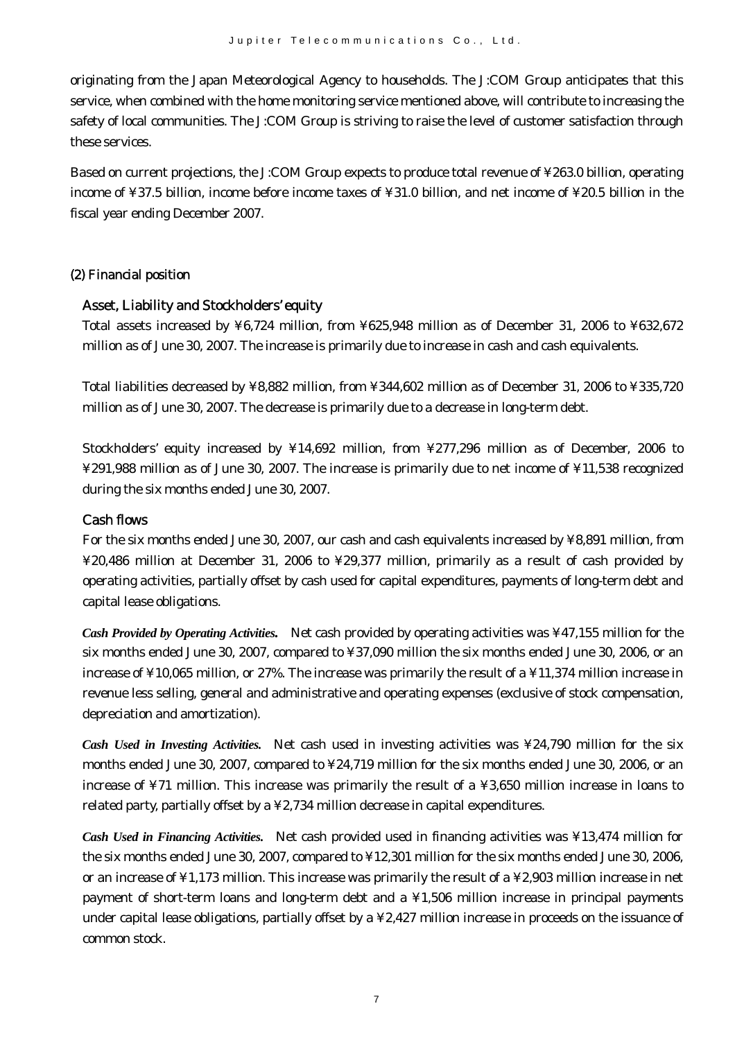originating from the Japan Meteorological Agency to households. The J:COM Group anticipates that this service, when combined with the home monitoring service mentioned above, will contribute to increasing the safety of local communities. The J:COM Group is striving to raise the level of customer satisfaction through these services.

Based on current projections, the J:COM Group expects to produce total revenue of ¥263.0 billion, operating income of ¥37.5 billion, income before income taxes of ¥31.0 billion, and net income of ¥20.5 billion in the fiscal year ending December 2007.

#### (2) Financial position

#### Asset, Liability and Stockholders' equity

Total assets increased by ¥6,724 million, from ¥625,948 million as of December 31, 2006 to ¥632,672 million as of June 30, 2007. The increase is primarily due to increase in cash and cash equivalents.

Total liabilities decreased by ¥8,882 million, from ¥344,602 million as of December 31, 2006 to ¥335,720 million as of June 30, 2007. The decrease is primarily due to a decrease in long-term debt.

Stockholders' equity increased by ¥14,692 million, from ¥277,296 million as of December, 2006 to ¥291,988 million as of June 30, 2007. The increase is primarily due to net income of ¥11,538 recognized during the six months ended June 30, 2007.

#### Cash flows

For the six months ended June 30, 2007, our cash and cash equivalents increased by ¥8,891 million, from ¥20,486 million at December 31, 2006 to ¥29,377 million, primarily as a result of cash provided by operating activities, partially offset by cash used for capital expenditures, payments of long-term debt and capital lease obligations.

*Cash Provided by Operating Activities.* Net cash provided by operating activities was ¥47,155 million for the six months ended June 30, 2007, compared to ¥37,090 million the six months ended June 30, 2006, or an increase of ¥10,065 million, or 27%. The increase was primarily the result of a ¥11,374 million increase in revenue less selling, general and administrative and operating expenses (exclusive of stock compensation, depreciation and amortization).

*Cash Used in Investing Activities.* Net cash used in investing activities was ¥24,790 million for the six months ended June 30, 2007, compared to ¥24,719 million for the six months ended June 30, 2006, or an increase of ¥71 million. This increase was primarily the result of a ¥3,650 million increase in loans to related party, partially offset by a ¥2,734 million decrease in capital expenditures.

*Cash Used in Financing Activities.* Net cash provided used in financing activities was ¥13,474 million for the six months ended June 30, 2007, compared to ¥12,301 million for the six months ended June 30, 2006, or an increase of ¥1,173 million. This increase was primarily the result of a ¥2,903 million increase in net payment of short-term loans and long-term debt and a ¥1,506 million increase in principal payments under capital lease obligations, partially offset by a ¥2,427 million increase in proceeds on the issuance of common stock.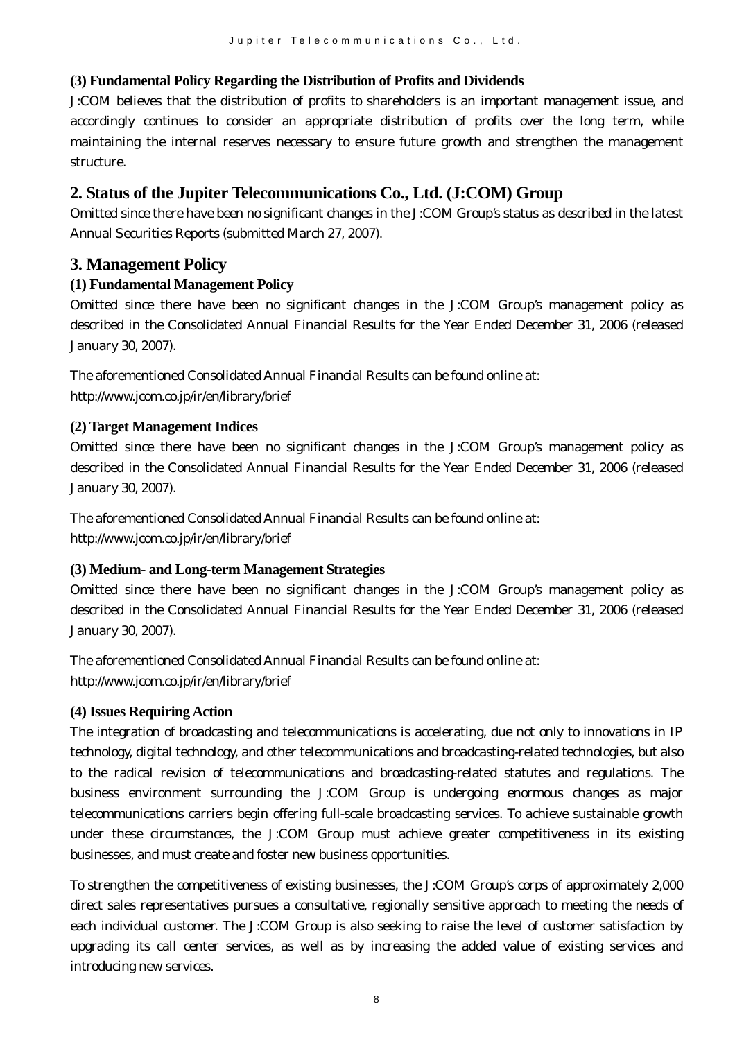# **(3) Fundamental Policy Regarding the Distribution of Profits and Dividends**

J:COM believes that the distribution of profits to shareholders is an important management issue, and accordingly continues to consider an appropriate distribution of profits over the long term, while maintaining the internal reserves necessary to ensure future growth and strengthen the management structure.

# **2. Status of the Jupiter Telecommunications Co., Ltd. (J:COM) Group**

Omitted since there have been no significant changes in the J:COM Group's status as described in the latest Annual Securities Reports (submitted March 27, 2007).

# **3. Management Policy**

# **(1) Fundamental Management Policy**

Omitted since there have been no significant changes in the J:COM Group's management policy as described in the Consolidated Annual Financial Results for the Year Ended December 31, 2006 (released January 30, 2007).

The aforementioned Consolidated Annual Financial Results can be found online at: http://www.jcom.co.jp/ir/en/library/brief

# **(2) Target Management Indices**

Omitted since there have been no significant changes in the J:COM Group's management policy as described in the Consolidated Annual Financial Results for the Year Ended December 31, 2006 (released January 30, 2007).

The aforementioned Consolidated Annual Financial Results can be found online at: http://www.jcom.co.jp/ir/en/library/brief

# **(3) Medium- and Long-term Management Strategies**

Omitted since there have been no significant changes in the J:COM Group's management policy as described in the Consolidated Annual Financial Results for the Year Ended December 31, 2006 (released January 30, 2007).

The aforementioned Consolidated Annual Financial Results can be found online at: http://www.jcom.co.jp/ir/en/library/brief

#### **(4) Issues Requiring Action**

The integration of broadcasting and telecommunications is accelerating, due not only to innovations in IP technology, digital technology, and other telecommunications and broadcasting-related technologies, but also to the radical revision of telecommunications and broadcasting-related statutes and regulations. The business environment surrounding the J:COM Group is undergoing enormous changes as major telecommunications carriers begin offering full-scale broadcasting services. To achieve sustainable growth under these circumstances, the J:COM Group must achieve greater competitiveness in its existing businesses, and must create and foster new business opportunities.

To strengthen the competitiveness of existing businesses, the J:COM Group's corps of approximately 2,000 direct sales representatives pursues a consultative, regionally sensitive approach to meeting the needs of each individual customer. The J:COM Group is also seeking to raise the level of customer satisfaction by upgrading its call center services, as well as by increasing the added value of existing services and introducing new services.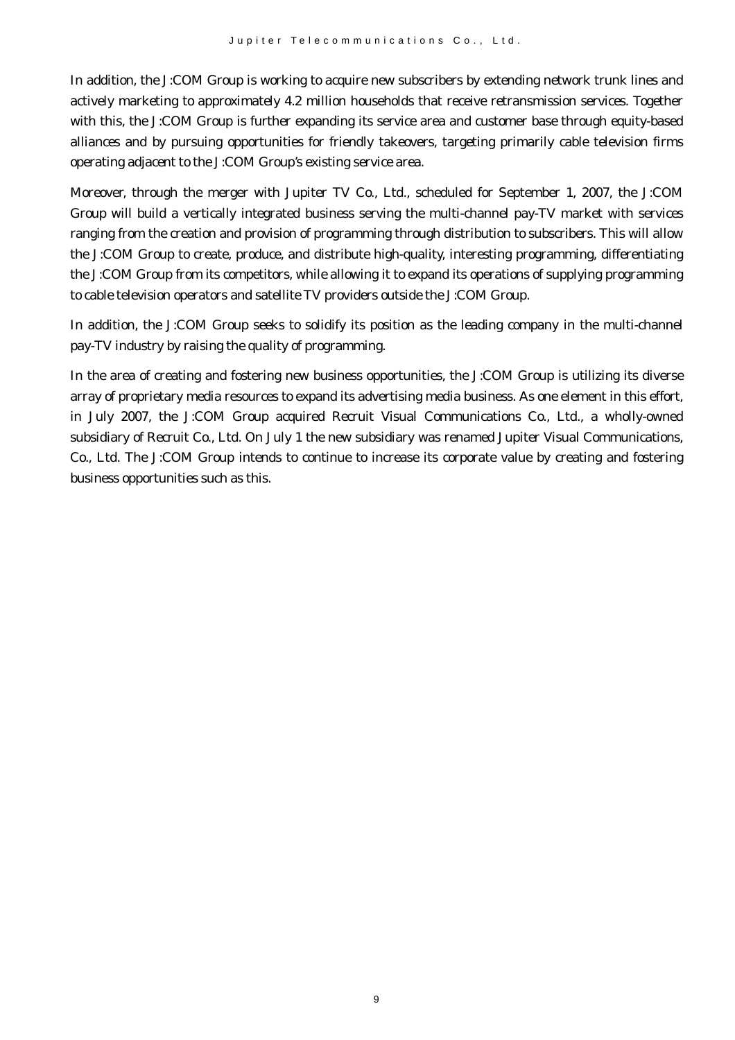In addition, the J:COM Group is working to acquire new subscribers by extending network trunk lines and actively marketing to approximately 4.2 million households that receive retransmission services. Together with this, the J:COM Group is further expanding its service area and customer base through equity-based alliances and by pursuing opportunities for friendly takeovers, targeting primarily cable television firms operating adjacent to the J:COM Group's existing service area.

Moreover, through the merger with Jupiter TV Co., Ltd., scheduled for September 1, 2007, the J:COM Group will build a vertically integrated business serving the multi-channel pay-TV market with services ranging from the creation and provision of programming through distribution to subscribers. This will allow the J:COM Group to create, produce, and distribute high-quality, interesting programming, differentiating the J:COM Group from its competitors, while allowing it to expand its operations of supplying programming to cable television operators and satellite TV providers outside the J:COM Group.

In addition, the J:COM Group seeks to solidify its position as the leading company in the multi-channel pay-TV industry by raising the quality of programming.

In the area of creating and fostering new business opportunities, the J:COM Group is utilizing its diverse array of proprietary media resources to expand its advertising media business. As one element in this effort, in July 2007, the J:COM Group acquired Recruit Visual Communications Co., Ltd., a wholly-owned subsidiary of Recruit Co., Ltd. On July 1 the new subsidiary was renamed Jupiter Visual Communications, Co., Ltd. The J:COM Group intends to continue to increase its corporate value by creating and fostering business opportunities such as this.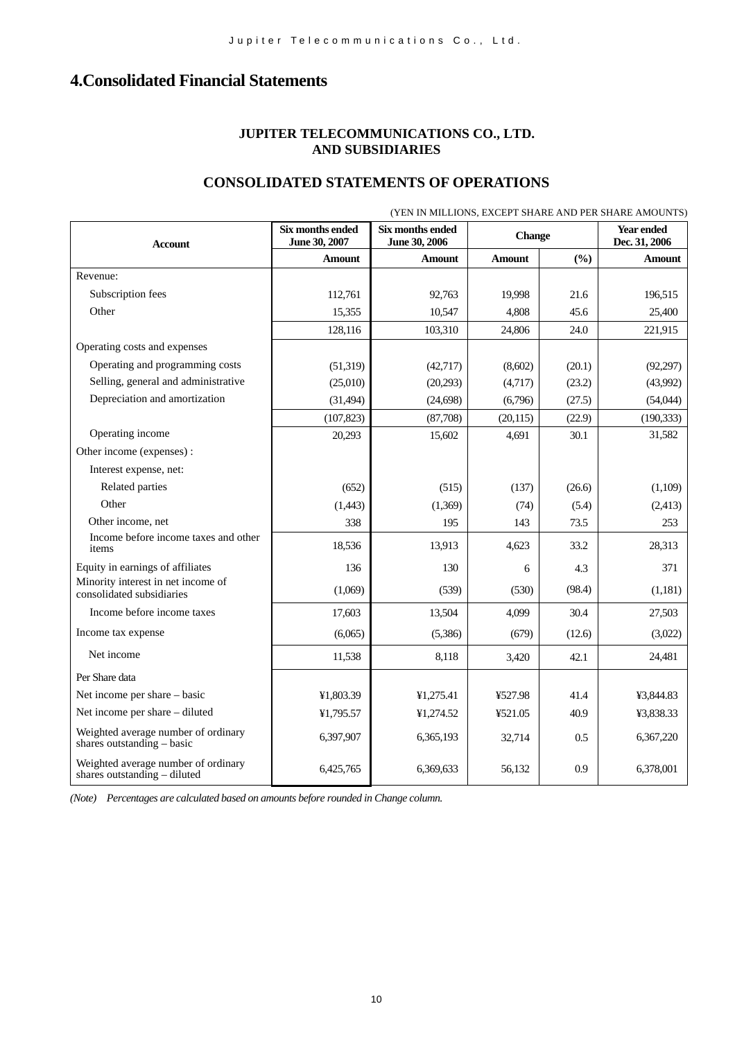# **4.Consolidated Financial Statements**

#### **JUPITER TELECOMMUNICATIONS CO., LTD. AND SUBSIDIARIES**

#### **CONSOLIDATED STATEMENTS OF OPERATIONS**

|                                                                       |                                   |                                   |               |        | (YEN IN MILLIONS, EXCEPT SHARE AND PER SHARE AMOUNTS) |
|-----------------------------------------------------------------------|-----------------------------------|-----------------------------------|---------------|--------|-------------------------------------------------------|
| <b>Account</b>                                                        | Six months ended<br>June 30, 2007 | Six months ended<br>June 30, 2006 | <b>Change</b> |        | Year ended<br>Dec. 31, 2006                           |
|                                                                       | <b>Amount</b>                     | <b>Amount</b>                     | <b>Amount</b> | (%)    | <b>Amount</b>                                         |
| Revenue:                                                              |                                   |                                   |               |        |                                                       |
| Subscription fees                                                     | 112,761                           | 92,763                            | 19,998        | 21.6   | 196,515                                               |
| Other                                                                 | 15,355                            | 10,547                            | 4,808         | 45.6   | 25,400                                                |
|                                                                       | 128,116                           | 103,310                           | 24,806        | 24.0   | 221,915                                               |
| Operating costs and expenses                                          |                                   |                                   |               |        |                                                       |
| Operating and programming costs                                       | (51, 319)                         | (42, 717)                         | (8,602)       | (20.1) | (92, 297)                                             |
| Selling, general and administrative                                   | (25,010)                          | (20,293)                          | (4,717)       | (23.2) | (43,992)                                              |
| Depreciation and amortization                                         | (31, 494)                         | (24, 698)                         | (6,796)       | (27.5) | (54,044)                                              |
|                                                                       | (107, 823)                        | (87,708)                          | (20, 115)     | (22.9) | (190, 333)                                            |
| Operating income                                                      | 20,293                            | 15,602                            | 4,691         | 30.1   | 31,582                                                |
| Other income (expenses):                                              |                                   |                                   |               |        |                                                       |
| Interest expense, net:                                                |                                   |                                   |               |        |                                                       |
| Related parties                                                       | (652)                             | (515)                             | (137)         | (26.6) | (1,109)                                               |
| Other                                                                 | (1,443)                           | (1,369)                           | (74)          | (5.4)  | (2, 413)                                              |
| Other income, net                                                     | 338                               | 195                               | 143           | 73.5   | 253                                                   |
| Income before income taxes and other<br>items                         | 18,536                            | 13,913                            | 4,623         | 33.2   | 28,313                                                |
| Equity in earnings of affiliates                                      | 136                               | 130                               | 6             | 4.3    | 371                                                   |
| Minority interest in net income of<br>consolidated subsidiaries       | (1,069)                           | (539)                             | (530)         | (98.4) | (1,181)                                               |
| Income before income taxes                                            | 17,603                            | 13,504                            | 4,099         | 30.4   | 27,503                                                |
| Income tax expense                                                    | (6,065)                           | (5,386)                           | (679)         | (12.6) | (3,022)                                               |
| Net income                                                            | 11,538                            | 8,118                             | 3,420         | 42.1   | 24,481                                                |
| Per Share data                                                        |                                   |                                   |               |        |                                                       |
| Net income per share - basic                                          | ¥1,803.39                         | ¥1,275.41                         | ¥527.98       | 41.4   | ¥3,844.83                                             |
| Net income per share - diluted                                        | ¥1,795.57                         | ¥1,274.52                         | ¥521.05       | 40.9   | ¥3,838.33                                             |
| Weighted average number of ordinary<br>shares outstanding $-$ basic   | 6,397,907                         | 6,365,193                         | 32,714        | 0.5    | 6,367,220                                             |
| Weighted average number of ordinary<br>shares outstanding $-$ diluted | 6,425,765                         | 6,369,633                         | 56,132        | 0.9    | 6,378,001                                             |

*(Note) Percentages are calculated based on amounts before rounded in Change column.*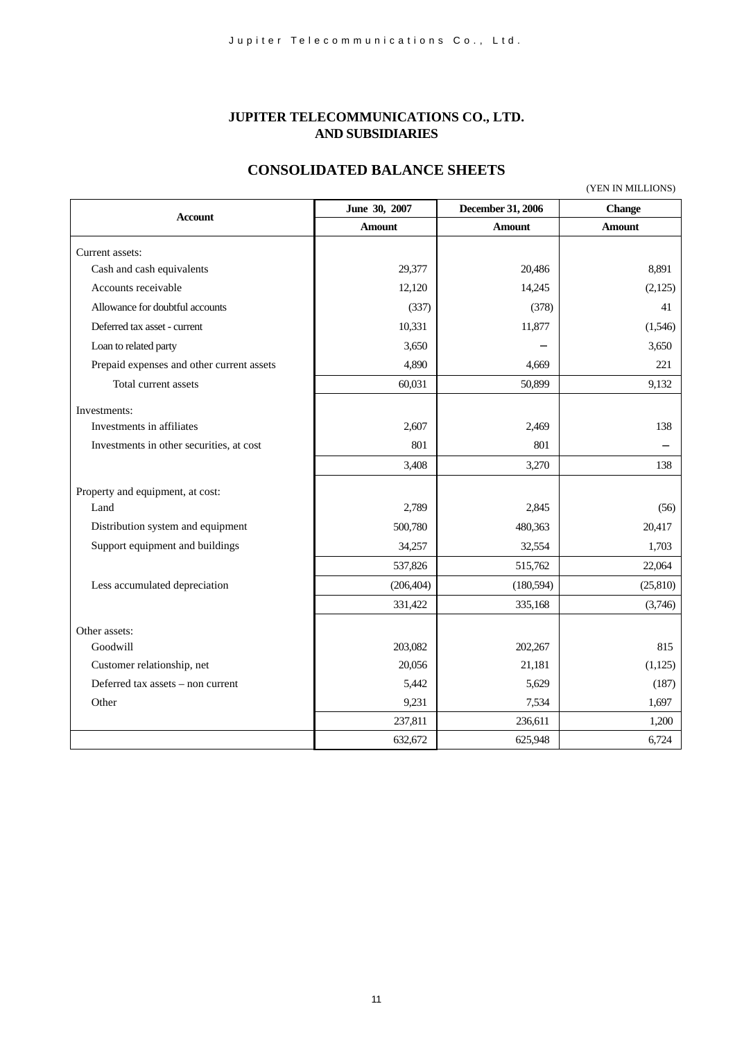#### **JUPITER TELECOMMUNICATIONS CO., LTD. AND SUBSIDIARIES**

#### **CONSOLIDATED BALANCE SHEETS**

(YEN IN MILLIONS)

| <b>Account</b>                            | June 30, 2007 | December 31, 2006 | Change        |
|-------------------------------------------|---------------|-------------------|---------------|
|                                           | <b>Amount</b> | <b>Amount</b>     | <b>Amount</b> |
| Current assets:                           |               |                   |               |
| Cash and cash equivalents                 | 29,377        | 20,486            | 8,891         |
| Accounts receivable                       | 12,120        | 14,245            | (2,125)       |
| Allowance for doubtful accounts           | (337)         | (378)             | 41            |
| Deferred tax asset - current              | 10,331        | 11,877            | (1,546)       |
| Loan to related party                     | 3,650         |                   | 3,650         |
| Prepaid expenses and other current assets | 4,890         | 4,669             | 221           |
| Total current assets                      | 60,031        | 50,899            | 9,132         |
| Investments:                              |               |                   |               |
| Investments in affiliates                 | 2,607         | 2,469             | 138           |
| Investments in other securities, at cost  | 801           | 801               |               |
|                                           | 3,408         | 3,270             | 138           |
| Property and equipment, at cost:          |               |                   |               |
| Land                                      | 2,789         | 2,845             | (56)          |
| Distribution system and equipment         | 500,780       | 480,363           | 20,417        |
| Support equipment and buildings           | 34,257        | 32,554            | 1,703         |
|                                           | 537,826       | 515,762           | 22,064        |
| Less accumulated depreciation             | (206, 404)    | (180, 594)        | (25, 810)     |
|                                           | 331,422       | 335,168           | (3,746)       |
|                                           |               |                   |               |
| Other assets:                             |               |                   | 815           |
| Goodwill                                  | 203,082       | 202,267           |               |
| Customer relationship, net                | 20,056        | 21,181            | (1,125)       |
| Deferred tax assets – non current         | 5,442         | 5,629             | (187)         |
| Other                                     | 9,231         | 7,534             | 1,697         |
|                                           | 237,811       | 236,611           | 1,200         |
|                                           | 632,672       | 625,948           | 6,724         |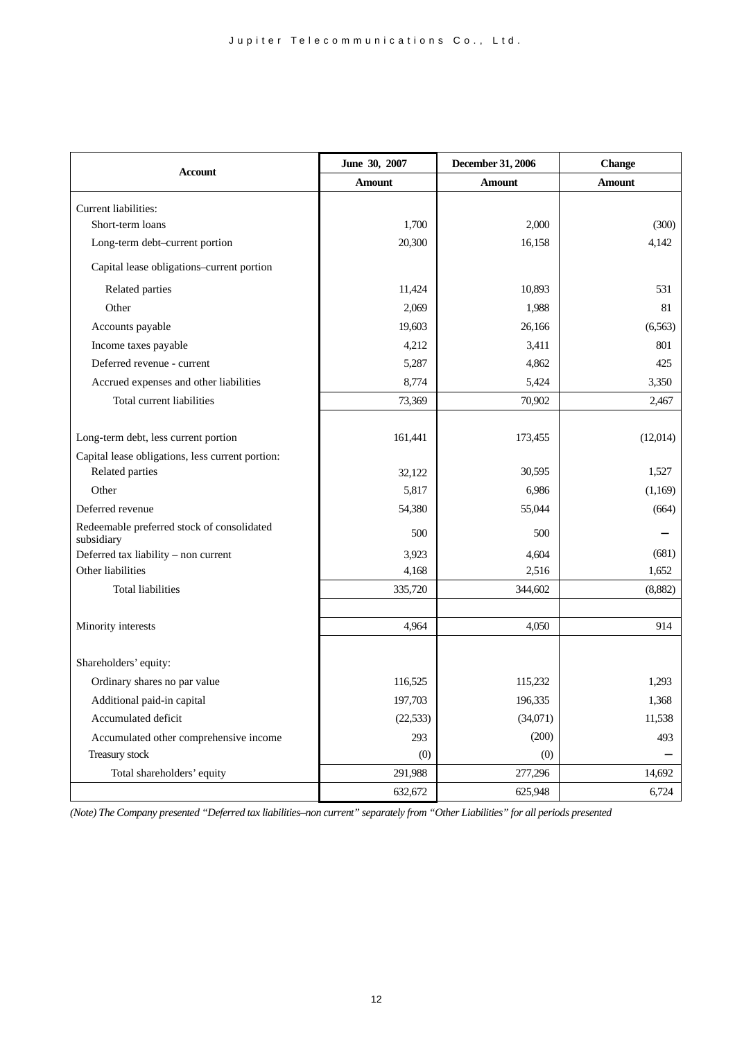| <b>Account</b>                                           | June 30, 2007 | December 31, 2006 | <b>Change</b> |  |
|----------------------------------------------------------|---------------|-------------------|---------------|--|
|                                                          | <b>Amount</b> | Amount            | Amount        |  |
| Current liabilities:                                     |               |                   |               |  |
| Short-term loans                                         | 1,700         | 2,000             | (300)         |  |
| Long-term debt-current portion                           | 20,300        | 16,158            | 4,142         |  |
| Capital lease obligations-current portion                |               |                   |               |  |
| Related parties                                          | 11,424        | 10,893            | 531           |  |
| Other                                                    | 2,069         | 1,988             | 81            |  |
| Accounts payable                                         | 19,603        | 26,166            | (6,563)       |  |
| Income taxes payable                                     | 4,212         | 3,411             | 801           |  |
| Deferred revenue - current                               | 5,287         | 4,862             | 425           |  |
| Accrued expenses and other liabilities                   | 8,774         | 5,424             | 3,350         |  |
| Total current liabilities                                | 73,369        | 70,902            | 2,467         |  |
|                                                          |               |                   |               |  |
| Long-term debt, less current portion                     | 161,441       | 173,455           | (12,014)      |  |
| Capital lease obligations, less current portion:         |               |                   |               |  |
| Related parties                                          | 32,122        | 30,595            | 1,527         |  |
| Other                                                    | 5,817         | 6,986             | (1,169)       |  |
| Deferred revenue                                         | 54,380        | 55,044            | (664)         |  |
| Redeemable preferred stock of consolidated<br>subsidiary | 500           | 500               |               |  |
| Deferred tax liability - non current                     | 3,923         | 4,604             | (681)         |  |
| Other liabilities                                        | 4,168         | 2,516             | 1,652         |  |
| <b>Total liabilities</b>                                 | 335,720       | 344,602           | (8,882)       |  |
|                                                          |               |                   |               |  |
| Minority interests                                       | 4,964         | 4,050             | 914           |  |
|                                                          |               |                   |               |  |
| Shareholders' equity:                                    |               |                   |               |  |
| Ordinary shares no par value                             | 116,525       | 115,232           | 1,293         |  |
| Additional paid-in capital                               | 197,703       | 196,335           | 1,368         |  |
| Accumulated deficit                                      | (22, 533)     | (34,071)          | 11,538        |  |
| Accumulated other comprehensive income                   | 293           | (200)             | 493           |  |
| Treasury stock                                           | (0)           | (0)               |               |  |
| Total shareholders' equity                               | 291,988       | 277,296           | 14,692        |  |
|                                                          | 632,672       | 625,948           | 6,724         |  |

*(Note) The Company presented "Deferred tax liabilities–non current" separately from "Other Liabilities" for all periods presented*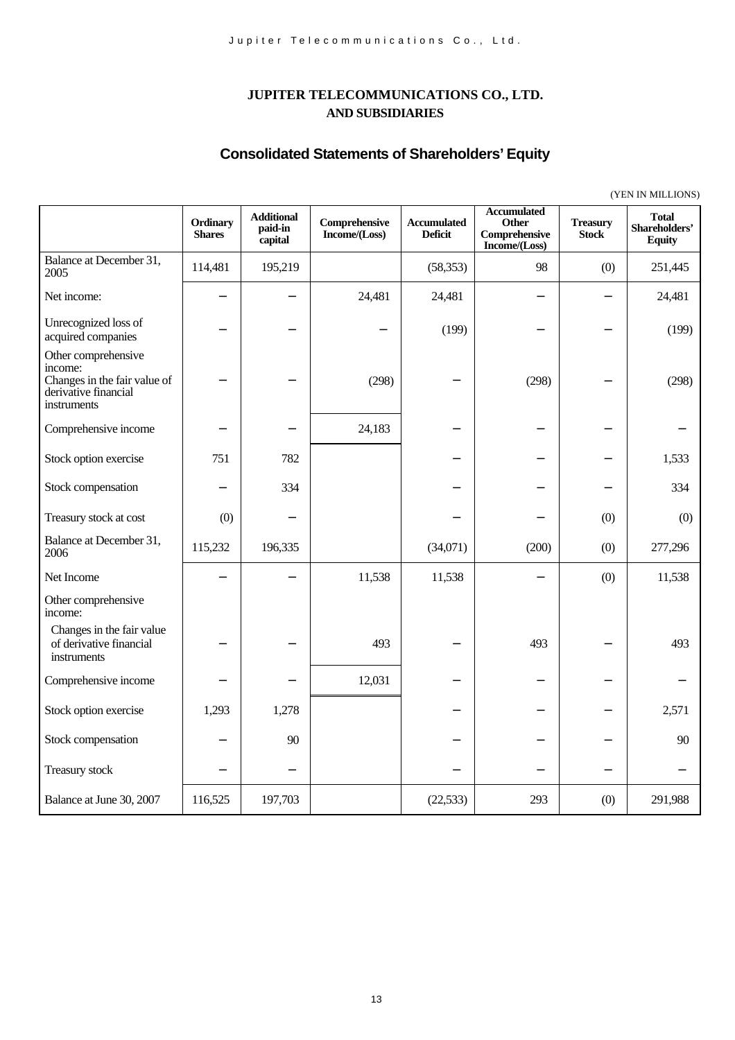# **JUPITER TELECOMMUNICATIONS CO., LTD. AND SUBSIDIARIES**

# **Consolidated Statements of Shareholders' Equity**

|                                                                                                       | (YEN IN MILLIONS)         |                                         |                                |                                      |                                                                      |                                 |                                                |
|-------------------------------------------------------------------------------------------------------|---------------------------|-----------------------------------------|--------------------------------|--------------------------------------|----------------------------------------------------------------------|---------------------------------|------------------------------------------------|
|                                                                                                       | Ordinary<br><b>Shares</b> | <b>Additional</b><br>paid-in<br>capital | Comprehensive<br>Income/(Loss) | <b>Accumulated</b><br><b>Deficit</b> | <b>Accumulated</b><br><b>Other</b><br>Comprehensive<br>Income/(Loss) | <b>Treasury</b><br><b>Stock</b> | <b>Total</b><br>Shareholders'<br><b>Equity</b> |
| Balance at December 31,<br>2005                                                                       | 114,481                   | 195,219                                 |                                | (58, 353)                            | 98                                                                   | (0)                             | 251,445                                        |
| Net income:                                                                                           |                           |                                         | 24,481                         | 24,481                               |                                                                      |                                 | 24,481                                         |
| Unrecognized loss of<br>acquired companies                                                            |                           |                                         |                                | (199)                                |                                                                      |                                 | (199)                                          |
| Other comprehensive<br>income:<br>Changes in the fair value of<br>derivative financial<br>instruments |                           |                                         | (298)                          |                                      | (298)                                                                |                                 | (298)                                          |
| Comprehensive income                                                                                  |                           |                                         | 24,183                         |                                      |                                                                      |                                 |                                                |
| Stock option exercise                                                                                 | 751                       | 782                                     |                                |                                      |                                                                      |                                 | 1,533                                          |
| Stock compensation                                                                                    |                           | 334                                     |                                |                                      |                                                                      |                                 | 334                                            |
| Treasury stock at cost                                                                                | (0)                       |                                         |                                |                                      |                                                                      | (0)                             | (0)                                            |
| Balance at December 31,<br>2006                                                                       | 115,232                   | 196,335                                 |                                | (34,071)                             | (200)                                                                | (0)                             | 277,296                                        |
| Net Income                                                                                            |                           |                                         | 11,538                         | 11,538                               |                                                                      | (0)                             | 11,538                                         |
| Other comprehensive<br>income:                                                                        |                           |                                         |                                |                                      |                                                                      |                                 |                                                |
| Changes in the fair value<br>of derivative financial<br>instruments                                   |                           |                                         | 493                            |                                      | 493                                                                  |                                 | 493                                            |
| Comprehensive income                                                                                  |                           |                                         | 12,031                         |                                      |                                                                      |                                 |                                                |
| Stock option exercise                                                                                 | 1,293                     | 1,278                                   |                                |                                      |                                                                      |                                 | 2,571                                          |
| Stock compensation                                                                                    |                           | 90                                      |                                |                                      |                                                                      |                                 | 90                                             |
| Treasury stock                                                                                        |                           |                                         |                                |                                      |                                                                      |                                 |                                                |
| Balance at June 30, 2007                                                                              | 116,525                   | 197,703                                 |                                | (22, 533)                            | 293                                                                  | (0)                             | 291,988                                        |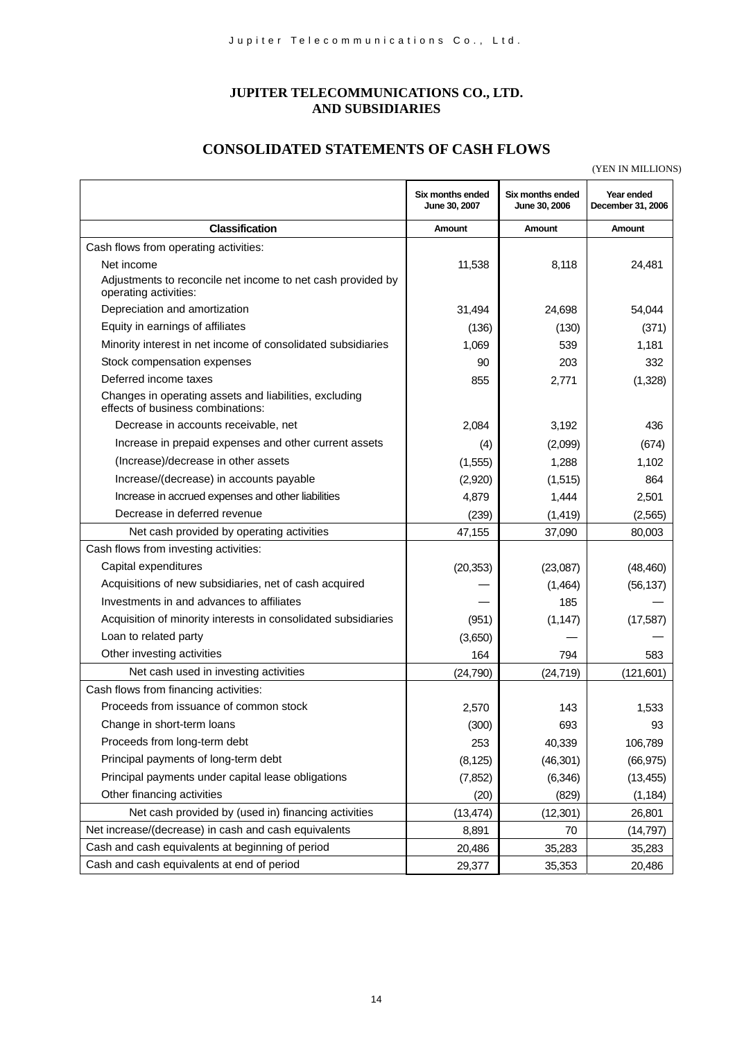#### **JUPITER TELECOMMUNICATIONS CO., LTD. AND SUBSIDIARIES**

# **CONSOLIDATED STATEMENTS OF CASH FLOWS**

(YEN IN MILLIONS)

|                                                                                             | Six months ended<br>June 30, 2007 | Six months ended<br>June 30, 2006 | Year ended<br>December 31, 2006 |
|---------------------------------------------------------------------------------------------|-----------------------------------|-----------------------------------|---------------------------------|
| <b>Classification</b>                                                                       | Amount                            | Amount                            | Amount                          |
| Cash flows from operating activities:                                                       |                                   |                                   |                                 |
| Net income                                                                                  | 11,538                            | 8,118                             | 24,481                          |
| Adjustments to reconcile net income to net cash provided by<br>operating activities:        |                                   |                                   |                                 |
| Depreciation and amortization                                                               | 31,494                            | 24,698                            | 54,044                          |
| Equity in earnings of affiliates                                                            | (136)                             | (130)                             | (371)                           |
| Minority interest in net income of consolidated subsidiaries                                | 1,069                             | 539                               | 1,181                           |
| Stock compensation expenses                                                                 | 90                                | 203                               | 332                             |
| Deferred income taxes                                                                       | 855                               | 2,771                             | (1,328)                         |
| Changes in operating assets and liabilities, excluding<br>effects of business combinations: |                                   |                                   |                                 |
| Decrease in accounts receivable, net                                                        | 2,084                             | 3,192                             | 436                             |
| Increase in prepaid expenses and other current assets                                       | (4)                               | (2,099)                           | (674)                           |
| (Increase)/decrease in other assets                                                         | (1, 555)                          | 1,288                             | 1,102                           |
| Increase/(decrease) in accounts payable                                                     | (2,920)                           | (1,515)                           | 864                             |
| Increase in accrued expenses and other liabilities                                          | 4,879                             | 1,444                             | 2,501                           |
| Decrease in deferred revenue                                                                | (239)                             | (1, 419)                          | (2, 565)                        |
| Net cash provided by operating activities                                                   | 47,155                            | 37,090                            | 80,003                          |
| Cash flows from investing activities:                                                       |                                   |                                   |                                 |
| Capital expenditures                                                                        | (20, 353)                         | (23,087)                          | (48, 460)                       |
| Acquisitions of new subsidiaries, net of cash acquired                                      |                                   | (1,464)                           | (56, 137)                       |
| Investments in and advances to affiliates                                                   |                                   | 185                               |                                 |
| Acquisition of minority interests in consolidated subsidiaries                              | (951)                             | (1, 147)                          | (17, 587)                       |
| Loan to related party                                                                       | (3,650)                           |                                   |                                 |
| Other investing activities                                                                  | 164                               | 794                               | 583                             |
| Net cash used in investing activities                                                       | (24, 790)                         | (24, 719)                         | (121, 601)                      |
| Cash flows from financing activities:                                                       |                                   |                                   |                                 |
| Proceeds from issuance of common stock                                                      | 2,570                             | 143                               | 1,533                           |
| Change in short-term loans                                                                  | (300)                             | 693                               | 93                              |
| Proceeds from long-term debt                                                                | 253                               | 40,339                            | 106,789                         |
| Principal payments of long-term debt                                                        | (8, 125)                          | (46, 301)                         | (66, 975)                       |
| Principal payments under capital lease obligations                                          | (7, 852)                          | (6, 346)                          | (13, 455)                       |
| Other financing activities                                                                  | (20)                              | (829)                             | (1, 184)                        |
| Net cash provided by (used in) financing activities                                         | (13, 474)                         | (12, 301)                         | 26,801                          |
| Net increase/(decrease) in cash and cash equivalents                                        | 8,891                             | 70                                | (14, 797)                       |
| Cash and cash equivalents at beginning of period                                            | 20,486                            | 35,283                            | 35,283                          |
| Cash and cash equivalents at end of period                                                  | 29,377                            | 35,353                            | 20,486                          |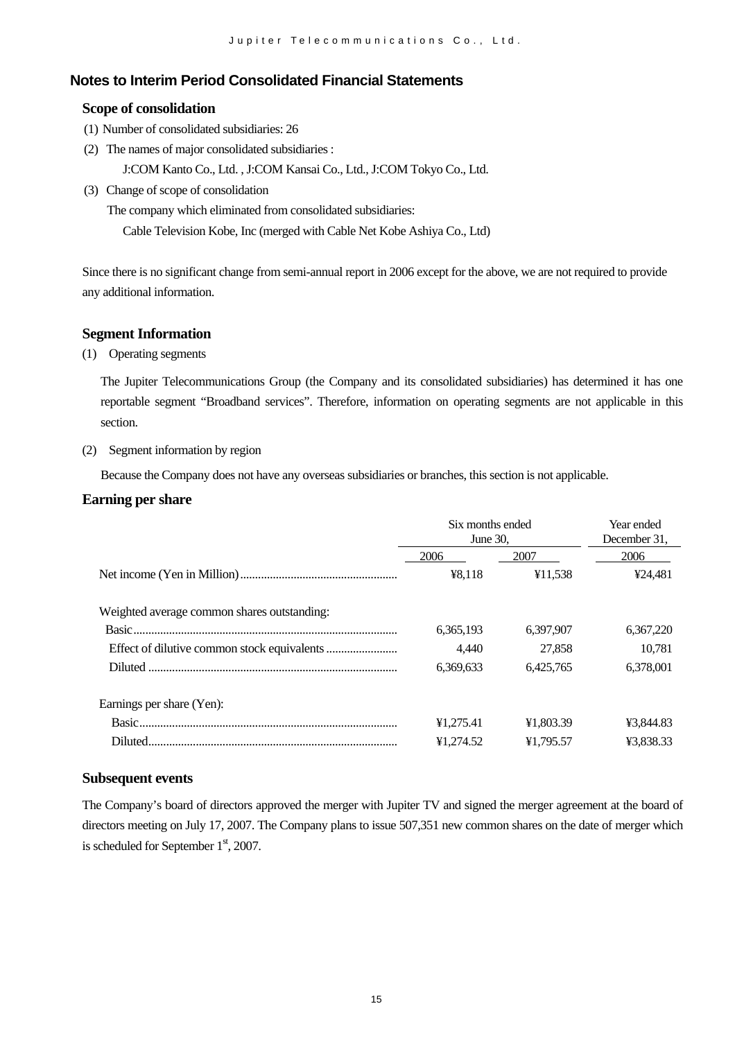# **Notes to Interim Period Consolidated Financial Statements**

#### **Scope of consolidation**

- (1) Number of consolidated subsidiaries: 26
- (2) The names of major consolidated subsidiaries :

J:COM Kanto Co., Ltd. , J:COM Kansai Co., Ltd., J:COM Tokyo Co., Ltd.

(3) Change of scope of consolidation

The company which eliminated from consolidated subsidiaries:

Cable Television Kobe, Inc (merged with Cable Net Kobe Ashiya Co., Ltd)

Since there is no significant change from semi-annual report in 2006 except for the above, we are not required to provide any additional information.

#### **Segment Information**

(1) Operating segments

The Jupiter Telecommunications Group (the Company and its consolidated subsidiaries) has determined it has one reportable segment "Broadband services". Therefore, information on operating segments are not applicable in this section.

#### (2) Segment information by region

Because the Company does not have any overseas subsidiaries or branches, this section is not applicable.

#### **Earning per share**

|                                             | Six months ended<br>June 30, | Year ended<br>December 31, |           |
|---------------------------------------------|------------------------------|----------------------------|-----------|
|                                             | 2006                         | 2007                       | 2006      |
|                                             | ¥8,118                       | ¥11,538                    | ¥24,481   |
| Weighted average common shares outstanding: |                              |                            |           |
|                                             | 6,365,193                    | 6.397.907                  | 6,367,220 |
|                                             | 4.440                        | 27.858                     | 10.781    |
|                                             | 6,369,633                    | 6,425,765                  | 6,378,001 |
| Earnings per share (Yen):                   |                              |                            |           |
|                                             | ¥1,275.41                    | ¥1,803.39                  | ¥3,844.83 |
| Diluted.                                    | ¥1,274.52                    | ¥1,795.57                  | ¥3,838.33 |

#### **Subsequent events**

The Company's board of directors approved the merger with Jupiter TV and signed the merger agreement at the board of directors meeting on July 17, 2007. The Company plans to issue 507,351 new common shares on the date of merger which is scheduled for September  $1<sup>st</sup>$ , 2007.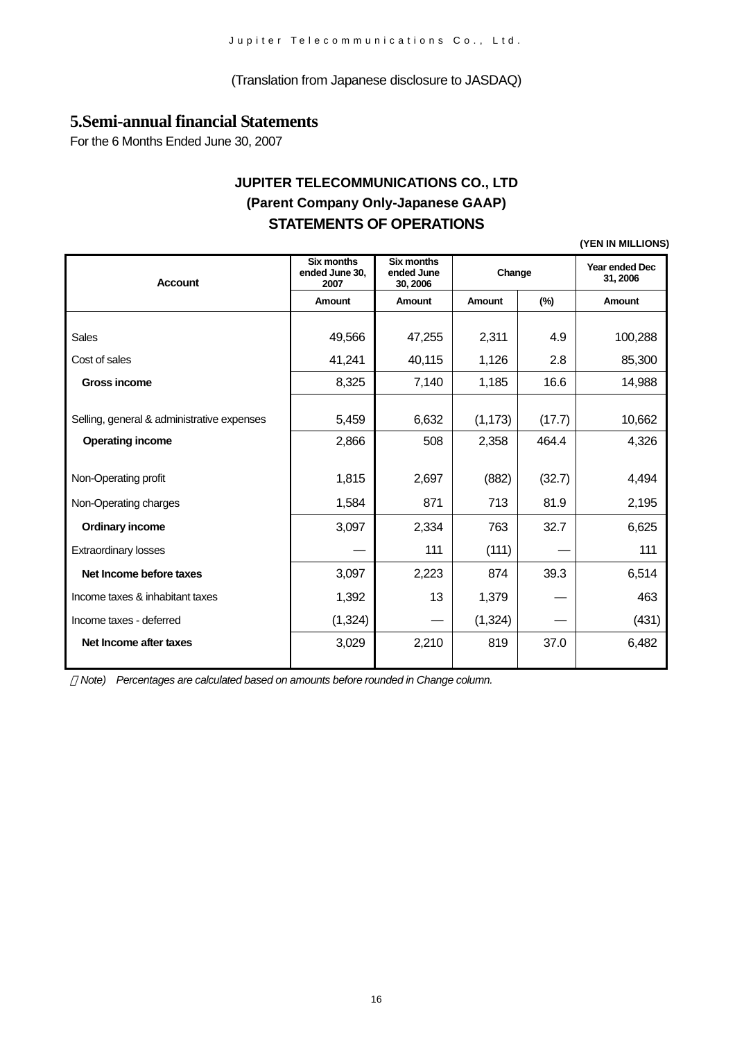#### (Translation from Japanese disclosure to JASDAQ)

# **5.Semi-annual financial Statements**

For the 6 Months Ended June 30, 2007

# **JUPITER TELECOMMUNICATIONS CO., LTD (Parent Company Only-Japanese GAAP) STATEMENTS OF OPERATIONS**

**(YEN IN MILLIONS)**

| <b>Account</b>                             | <b>Six months</b><br>ended June 30,<br>2007 | Six months<br>ended June<br>30, 2006 | Change   |        | Year ended Dec<br>31, 2006 |
|--------------------------------------------|---------------------------------------------|--------------------------------------|----------|--------|----------------------------|
|                                            | Amount                                      | Amount                               | Amount   | $(\%)$ | Amount                     |
|                                            |                                             |                                      |          |        |                            |
| Sales                                      | 49,566                                      | 47,255                               | 2,311    | 4.9    | 100,288                    |
| Cost of sales                              | 41,241                                      | 40,115                               | 1,126    | 2.8    | 85,300                     |
| <b>Gross income</b>                        | 8,325                                       | 7,140                                | 1,185    | 16.6   | 14,988                     |
|                                            |                                             |                                      |          |        |                            |
| Selling, general & administrative expenses | 5,459                                       | 6,632                                | (1, 173) | (17.7) | 10,662                     |
| <b>Operating income</b>                    | 2,866                                       | 508                                  | 2,358    | 464.4  | 4,326                      |
|                                            |                                             |                                      |          |        |                            |
| Non-Operating profit                       | 1,815                                       | 2,697                                | (882)    | (32.7) | 4,494                      |
| Non-Operating charges                      | 1,584                                       | 871                                  | 713      | 81.9   | 2,195                      |
| <b>Ordinary income</b>                     | 3,097                                       | 2,334                                | 763      | 32.7   | 6,625                      |
| <b>Extraordinary losses</b>                |                                             | 111                                  | (111)    |        | 111                        |
| Net Income before taxes                    | 3,097                                       | 2,223                                | 874      | 39.3   | 6,514                      |
| Income taxes & inhabitant taxes            | 1,392                                       | 13                                   | 1,379    |        | 463                        |
| Income taxes - deferred                    | (1, 324)                                    |                                      | (1, 324) |        | (431)                      |
| Net Income after taxes                     | 3,029                                       | 2,210                                | 819      | 37.0   | 6,482                      |

*Note) Percentages are calculated based on amounts before rounded in Change column.*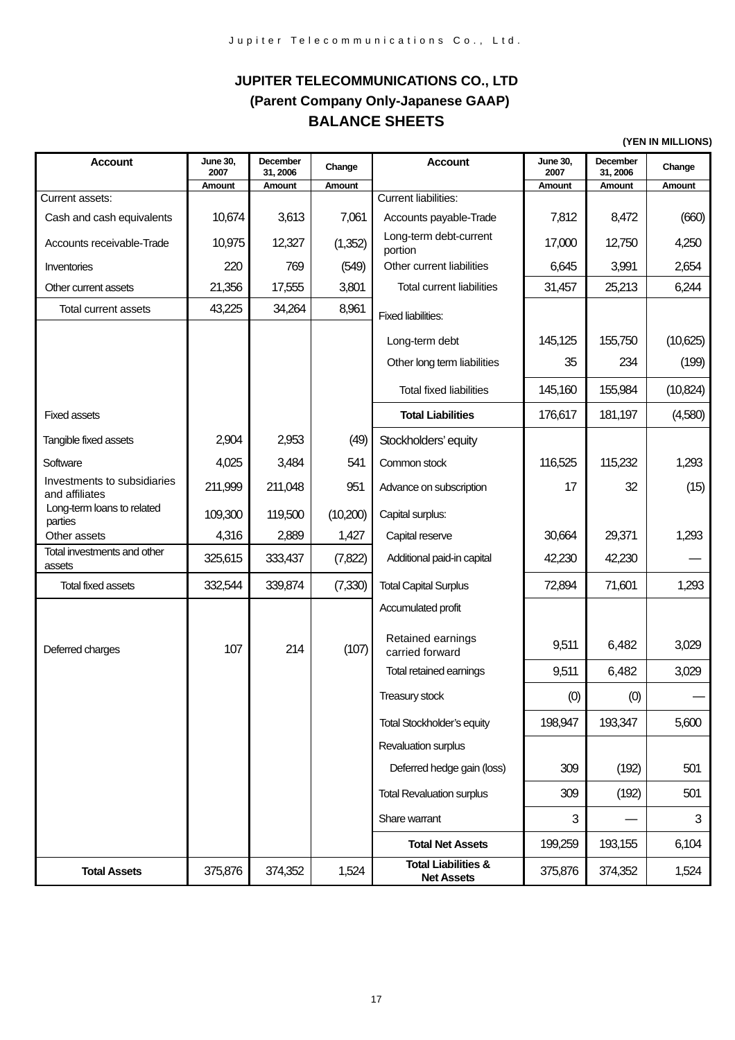# **JUPITER TELECOMMUNICATIONS CO., LTD (Parent Company Only-Japanese GAAP) BALANCE SHEETS**

**(YEN IN MILLIONS)**

| <b>Account</b>                                | <b>June 30,</b><br>2007<br>Amount | December<br>31, 2006<br>Amount | Change<br>Amount | <b>Account</b>                                      | <b>June 30,</b><br>2007<br>Amount | December<br>31, 2006<br>Amount | Change<br>Amount |
|-----------------------------------------------|-----------------------------------|--------------------------------|------------------|-----------------------------------------------------|-----------------------------------|--------------------------------|------------------|
| Current assets:                               |                                   |                                |                  | Current liabilities:                                |                                   |                                |                  |
| Cash and cash equivalents                     | 10,674                            | 3,613                          | 7,061            | Accounts payable-Trade                              | 7,812                             | 8,472                          | (660)            |
| Accounts receivable-Trade                     | 10,975                            | 12,327                         | (1,352)          | Long-term debt-current<br>portion                   | 17,000                            | 12,750                         | 4,250            |
| Inventories                                   | 220                               | 769                            | (549)            | Other current liabilities                           | 6,645                             | 3,991                          | 2,654            |
| Other current assets                          | 21,356                            | 17,555                         | 3,801            | <b>Total current liabilities</b>                    | 31,457                            | 25,213                         | 6,244            |
| Total current assets                          | 43,225                            | 34,264                         | 8,961            | <b>Fixed liabilities:</b>                           |                                   |                                |                  |
|                                               |                                   |                                |                  | Long-term debt                                      | 145,125                           | 155,750                        | (10,625)         |
|                                               |                                   |                                |                  | Other long term liabilities                         | 35                                | 234                            | (199)            |
|                                               |                                   |                                |                  | <b>Total fixed liabilities</b>                      | 145,160                           | 155,984                        | (10, 824)        |
| <b>Fixed assets</b>                           |                                   |                                |                  | <b>Total Liabilities</b>                            | 176,617                           | 181,197                        | (4,580)          |
| Tangible fixed assets                         | 2,904                             | 2,953                          | (49)             | Stockholders' equity                                |                                   |                                |                  |
| Software                                      | 4,025                             | 3,484                          | 541              | Common stock                                        | 116,525                           | 115,232                        | 1,293            |
| Investments to subsidiaries<br>and affiliates | 211,999                           | 211,048                        | 951              | Advance on subscription                             | 17                                | 32                             | (15)             |
| Long-term loans to related<br>parties         | 109,300                           | 119,500                        | (10,200)         | Capital surplus:                                    |                                   |                                |                  |
| Other assets                                  | 4,316                             | 2,889                          | 1,427            | Capital reserve                                     | 30,664                            | 29,371                         | 1,293            |
| Total investments and other<br>assets         | 325,615                           | 333,437                        | (7, 822)         | Additional paid-in capital                          | 42,230                            | 42,230                         |                  |
| <b>Total fixed assets</b>                     | 332,544                           | 339,874                        | (7, 330)         | <b>Total Capital Surplus</b>                        | 72,894                            | 71,601                         | 1,293            |
|                                               |                                   |                                |                  | Accumulated profit                                  |                                   |                                |                  |
| Deferred charges                              | 107                               | 214                            | (107)            | Retained earnings<br>carried forward                | 9,511                             | 6,482                          | 3,029            |
|                                               |                                   |                                |                  | Total retained earnings                             | 9,511                             | 6,482                          | 3,029            |
|                                               |                                   |                                |                  | Treasury stock                                      | (0)                               | (0)                            |                  |
|                                               |                                   |                                |                  | <b>Total Stockholder's equity</b>                   | 198,947                           | 193,347                        | 5,600            |
|                                               |                                   |                                |                  | Revaluation surplus                                 |                                   |                                |                  |
|                                               |                                   |                                |                  | Deferred hedge gain (loss)                          | 309                               | (192)                          | 501              |
|                                               |                                   |                                |                  | <b>Total Revaluation surplus</b>                    | 309                               | (192)                          | 501              |
|                                               |                                   |                                |                  | Share warrant                                       | 3                                 |                                | 3                |
|                                               |                                   |                                |                  | <b>Total Net Assets</b>                             | 199,259                           | 193,155                        | 6,104            |
| <b>Total Assets</b>                           | 375,876                           | 374,352                        | 1,524            | <b>Total Liabilities &amp;</b><br><b>Net Assets</b> | 375,876                           | 374,352                        | 1,524            |